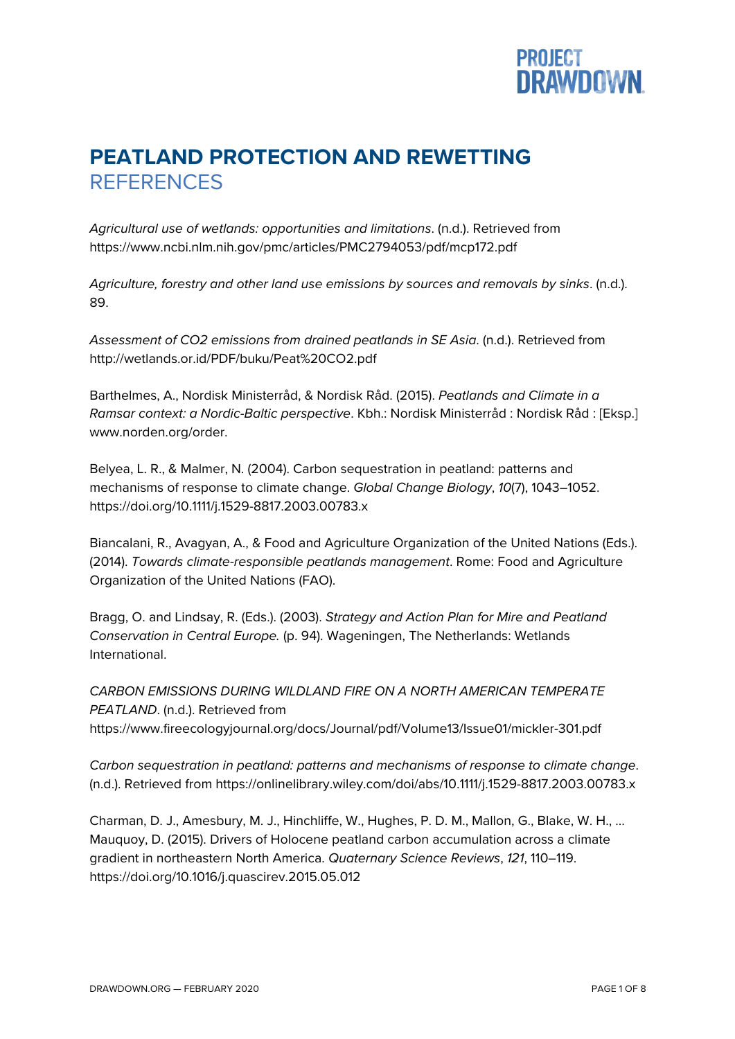## **PROJECT<br>DRAWDOWN.**

## **PEATLAND PROTECTION AND REWETTING REFERENCES**

*Agricultural use of wetlands: opportunities and limitations*. (n.d.). Retrieved from https://www.ncbi.nlm.nih.gov/pmc/articles/PMC2794053/pdf/mcp172.pdf

*Agriculture, forestry and other land use emissions by sources and removals by sinks*. (n.d.). 89.

*Assessment of CO2 emissions from drained peatlands in SE Asia*. (n.d.). Retrieved from http://wetlands.or.id/PDF/buku/Peat%20CO2.pdf

Barthelmes, A., Nordisk Ministerråd, & Nordisk Råd. (2015). *Peatlands and Climate in a Ramsar context: a Nordic-Baltic perspective*. Kbh.: Nordisk Ministerråd : Nordisk Råd : [Eksp.] www.norden.org/order.

Belyea, L. R., & Malmer, N. (2004). Carbon sequestration in peatland: patterns and mechanisms of response to climate change. *Global Change Biology*, *10*(7), 1043–1052. https://doi.org/10.1111/j.1529-8817.2003.00783.x

Biancalani, R., Avagyan, A., & Food and Agriculture Organization of the United Nations (Eds.). (2014). *Towards climate-responsible peatlands management*. Rome: Food and Agriculture Organization of the United Nations (FAO).

Bragg, O. and Lindsay, R. (Eds.). (2003). *Strategy and Action Plan for Mire and Peatland Conservation in Central Europe.* (p. 94). Wageningen, The Netherlands: Wetlands International.

*CARBON EMISSIONS DURING WILDLAND FIRE ON A NORTH AMERICAN TEMPERATE PEATLAND*. (n.d.). Retrieved from https://www.fireecologyjournal.org/docs/Journal/pdf/Volume13/Issue01/mickler-301.pdf

*Carbon sequestration in peatland: patterns and mechanisms of response to climate change*. (n.d.). Retrieved from https://onlinelibrary.wiley.com/doi/abs/10.1111/j.1529-8817.2003.00783.x

Charman, D. J., Amesbury, M. J., Hinchliffe, W., Hughes, P. D. M., Mallon, G., Blake, W. H., … Mauquoy, D. (2015). Drivers of Holocene peatland carbon accumulation across a climate gradient in northeastern North America. *Quaternary Science Reviews*, *121*, 110–119. https://doi.org/10.1016/j.quascirev.2015.05.012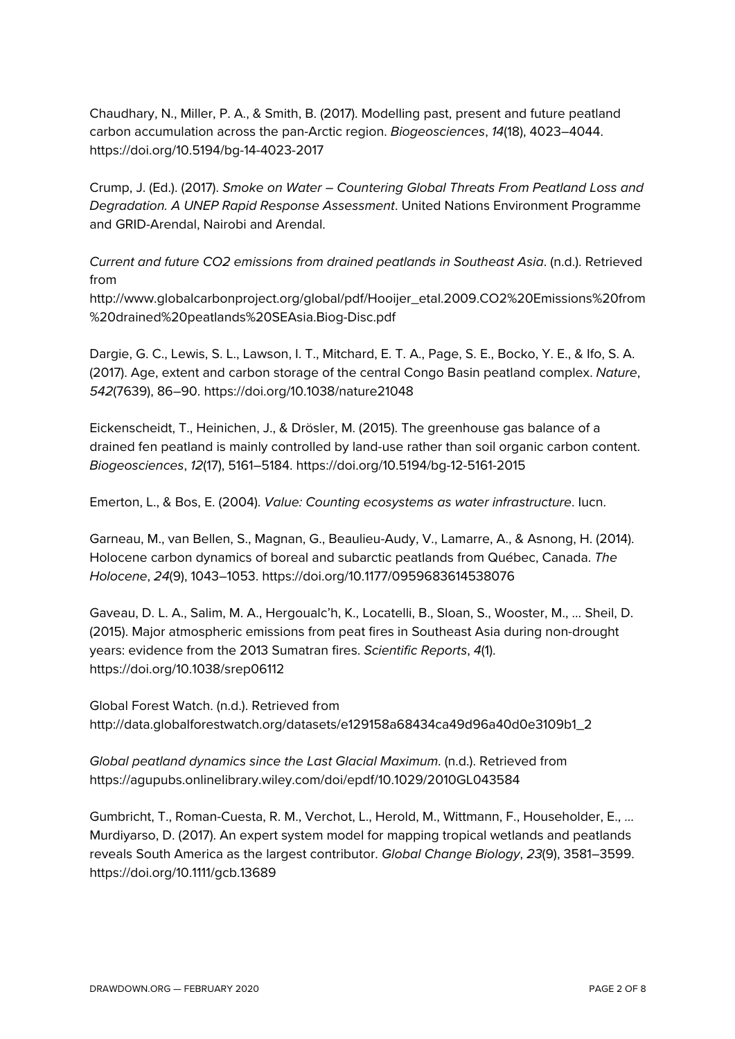Chaudhary, N., Miller, P. A., & Smith, B. (2017). Modelling past, present and future peatland carbon accumulation across the pan-Arctic region. *Biogeosciences*, *14*(18), 4023–4044. https://doi.org/10.5194/bg-14-4023-2017

Crump, J. (Ed.). (2017). *Smoke on Water – Countering Global Threats From Peatland Loss and Degradation. A UNEP Rapid Response Assessment*. United Nations Environment Programme and GRID-Arendal, Nairobi and Arendal.

*Current and future CO2 emissions from drained peatlands in Southeast Asia*. (n.d.). Retrieved from

http://www.globalcarbonproject.org/global/pdf/Hooijer\_etal.2009.CO2%20Emissions%20from %20drained%20peatlands%20SEAsia.Biog-Disc.pdf

Dargie, G. C., Lewis, S. L., Lawson, I. T., Mitchard, E. T. A., Page, S. E., Bocko, Y. E., & Ifo, S. A. (2017). Age, extent and carbon storage of the central Congo Basin peatland complex. *Nature*, *542*(7639), 86–90. https://doi.org/10.1038/nature21048

Eickenscheidt, T., Heinichen, J., & Drösler, M. (2015). The greenhouse gas balance of a drained fen peatland is mainly controlled by land-use rather than soil organic carbon content. *Biogeosciences*, *12*(17), 5161–5184. https://doi.org/10.5194/bg-12-5161-2015

Emerton, L., & Bos, E. (2004). *Value: Counting ecosystems as water infrastructure*. Iucn.

Garneau, M., van Bellen, S., Magnan, G., Beaulieu-Audy, V., Lamarre, A., & Asnong, H. (2014). Holocene carbon dynamics of boreal and subarctic peatlands from Québec, Canada. *The Holocene*, *24*(9), 1043–1053. https://doi.org/10.1177/0959683614538076

Gaveau, D. L. A., Salim, M. A., Hergoualc'h, K., Locatelli, B., Sloan, S., Wooster, M., … Sheil, D. (2015). Major atmospheric emissions from peat fires in Southeast Asia during non-drought years: evidence from the 2013 Sumatran fires. *Scientific Reports*, *4*(1). https://doi.org/10.1038/srep06112

Global Forest Watch. (n.d.). Retrieved from http://data.globalforestwatch.org/datasets/e129158a68434ca49d96a40d0e3109b1\_2

*Global peatland dynamics since the Last Glacial Maximum*. (n.d.). Retrieved from https://agupubs.onlinelibrary.wiley.com/doi/epdf/10.1029/2010GL043584

Gumbricht, T., Roman-Cuesta, R. M., Verchot, L., Herold, M., Wittmann, F., Householder, E., … Murdiyarso, D. (2017). An expert system model for mapping tropical wetlands and peatlands reveals South America as the largest contributor. *Global Change Biology*, *23*(9), 3581–3599. https://doi.org/10.1111/gcb.13689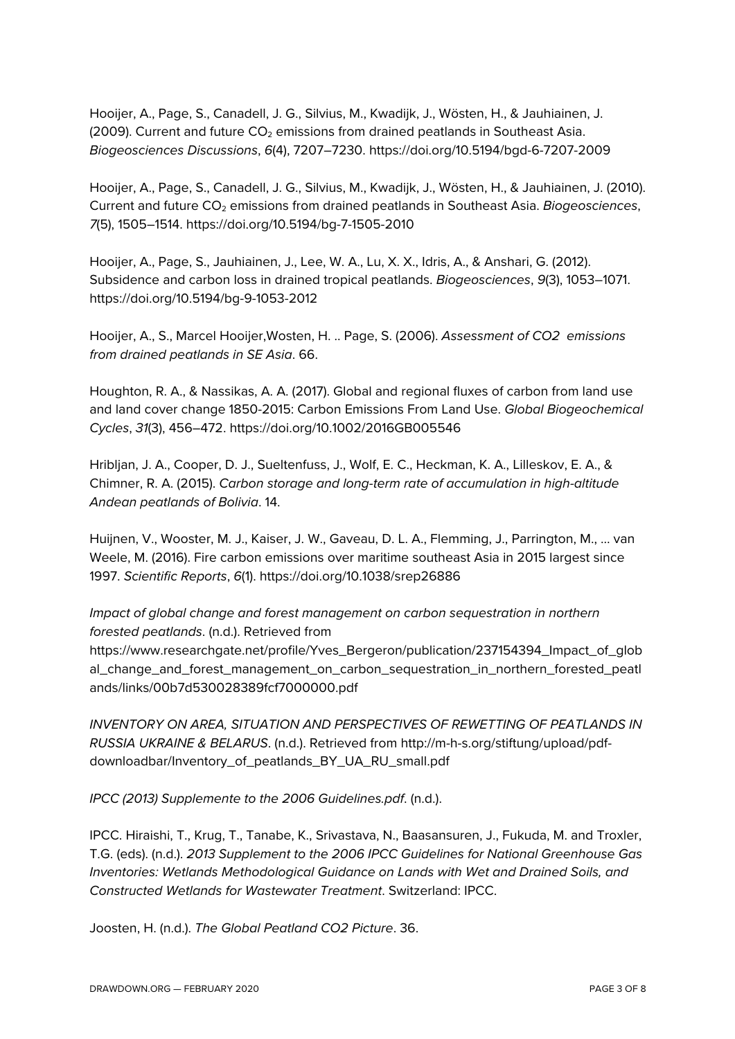Hooijer, A., Page, S., Canadell, J. G., Silvius, M., Kwadijk, J., Wösten, H., & Jauhiainen, J. (2009). Current and future  $CO<sub>2</sub>$  emissions from drained peatlands in Southeast Asia. *Biogeosciences Discussions*, *6*(4), 7207–7230. https://doi.org/10.5194/bgd-6-7207-2009

Hooijer, A., Page, S., Canadell, J. G., Silvius, M., Kwadijk, J., Wösten, H., & Jauhiainen, J. (2010). Current and future CO2 emissions from drained peatlands in Southeast Asia. *Biogeosciences*, *7*(5), 1505–1514. https://doi.org/10.5194/bg-7-1505-2010

Hooijer, A., Page, S., Jauhiainen, J., Lee, W. A., Lu, X. X., Idris, A., & Anshari, G. (2012). Subsidence and carbon loss in drained tropical peatlands. *Biogeosciences*, *9*(3), 1053–1071. https://doi.org/10.5194/bg-9-1053-2012

Hooijer, A., S., Marcel Hooijer,Wosten, H. .. Page, S. (2006). *Assessment of CO2 emissions from drained peatlands in SE Asia*. 66.

Houghton, R. A., & Nassikas, A. A. (2017). Global and regional fluxes of carbon from land use and land cover change 1850-2015: Carbon Emissions From Land Use. *Global Biogeochemical Cycles*, *31*(3), 456–472. https://doi.org/10.1002/2016GB005546

Hribljan, J. A., Cooper, D. J., Sueltenfuss, J., Wolf, E. C., Heckman, K. A., Lilleskov, E. A., & Chimner, R. A. (2015). *Carbon storage and long-term rate of accumulation in high-altitude Andean peatlands of Bolivia*. 14.

Huijnen, V., Wooster, M. J., Kaiser, J. W., Gaveau, D. L. A., Flemming, J., Parrington, M., … van Weele, M. (2016). Fire carbon emissions over maritime southeast Asia in 2015 largest since 1997. *Scientific Reports*, *6*(1). https://doi.org/10.1038/srep26886

*Impact of global change and forest management on carbon sequestration in northern forested peatlands*. (n.d.). Retrieved from https://www.researchgate.net/profile/Yves\_Bergeron/publication/237154394\_Impact\_of\_glob al\_change\_and\_forest\_management\_on\_carbon\_sequestration\_in\_northern\_forested\_peatl ands/links/00b7d530028389fcf7000000.pdf

*INVENTORY ON AREA, SITUATION AND PERSPECTIVES OF REWETTING OF PEATLANDS IN RUSSIA UKRAINE & BELARUS*. (n.d.). Retrieved from http://m-h-s.org/stiftung/upload/pdfdownloadbar/Inventory\_of\_peatlands\_BY\_UA\_RU\_small.pdf

*IPCC (2013) Supplemente to the 2006 Guidelines.pdf*. (n.d.).

IPCC. Hiraishi, T., Krug, T., Tanabe, K., Srivastava, N., Baasansuren, J., Fukuda, M. and Troxler, T.G. (eds). (n.d.). *2013 Supplement to the 2006 IPCC Guidelines for National Greenhouse Gas Inventories: Wetlands Methodological Guidance on Lands with Wet and Drained Soils, and Constructed Wetlands for Wastewater Treatment*. Switzerland: IPCC.

Joosten, H. (n.d.). *The Global Peatland CO2 Picture*. 36.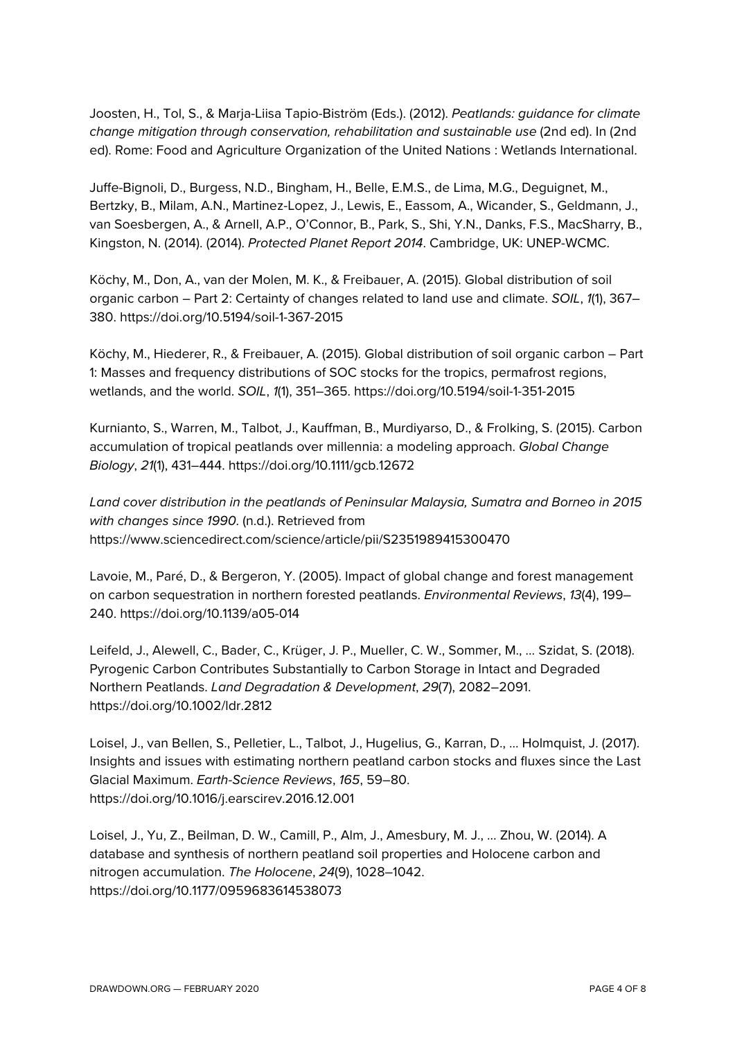Joosten, H., Tol, S., & Marja-Liisa Tapio-Biström (Eds.). (2012). *Peatlands: guidance for climate change mitigation through conservation, rehabilitation and sustainable use* (2nd ed). In (2nd ed). Rome: Food and Agriculture Organization of the United Nations : Wetlands International.

Juffe-Bignoli, D., Burgess, N.D., Bingham, H., Belle, E.M.S., de Lima, M.G., Deguignet, M., Bertzky, B., Milam, A.N., Martinez-Lopez, J., Lewis, E., Eassom, A., Wicander, S., Geldmann, J., van Soesbergen, A., & Arnell, A.P., O'Connor, B., Park, S., Shi, Y.N., Danks, F.S., MacSharry, B., Kingston, N. (2014). (2014). *Protected Planet Report 2014*. Cambridge, UK: UNEP-WCMC.

Köchy, M., Don, A., van der Molen, M. K., & Freibauer, A. (2015). Global distribution of soil organic carbon – Part 2: Certainty of changes related to land use and climate. *SOIL*, *1*(1), 367– 380. https://doi.org/10.5194/soil-1-367-2015

Köchy, M., Hiederer, R., & Freibauer, A. (2015). Global distribution of soil organic carbon – Part 1: Masses and frequency distributions of SOC stocks for the tropics, permafrost regions, wetlands, and the world. *SOIL*, *1*(1), 351–365. https://doi.org/10.5194/soil-1-351-2015

Kurnianto, S., Warren, M., Talbot, J., Kauffman, B., Murdiyarso, D., & Frolking, S. (2015). Carbon accumulation of tropical peatlands over millennia: a modeling approach. *Global Change Biology*, *21*(1), 431–444. https://doi.org/10.1111/gcb.12672

*Land cover distribution in the peatlands of Peninsular Malaysia, Sumatra and Borneo in 2015 with changes since 1990*. (n.d.). Retrieved from https://www.sciencedirect.com/science/article/pii/S2351989415300470

Lavoie, M., Paré, D., & Bergeron, Y. (2005). Impact of global change and forest management on carbon sequestration in northern forested peatlands. *Environmental Reviews*, *13*(4), 199– 240. https://doi.org/10.1139/a05-014

Leifeld, J., Alewell, C., Bader, C., Krüger, J. P., Mueller, C. W., Sommer, M., … Szidat, S. (2018). Pyrogenic Carbon Contributes Substantially to Carbon Storage in Intact and Degraded Northern Peatlands. *Land Degradation & Development*, *29*(7), 2082–2091. https://doi.org/10.1002/ldr.2812

Loisel, J., van Bellen, S., Pelletier, L., Talbot, J., Hugelius, G., Karran, D., … Holmquist, J. (2017). Insights and issues with estimating northern peatland carbon stocks and fluxes since the Last Glacial Maximum. *Earth-Science Reviews*, *165*, 59–80. https://doi.org/10.1016/j.earscirev.2016.12.001

Loisel, J., Yu, Z., Beilman, D. W., Camill, P., Alm, J., Amesbury, M. J., … Zhou, W. (2014). A database and synthesis of northern peatland soil properties and Holocene carbon and nitrogen accumulation. *The Holocene*, *24*(9), 1028–1042. https://doi.org/10.1177/0959683614538073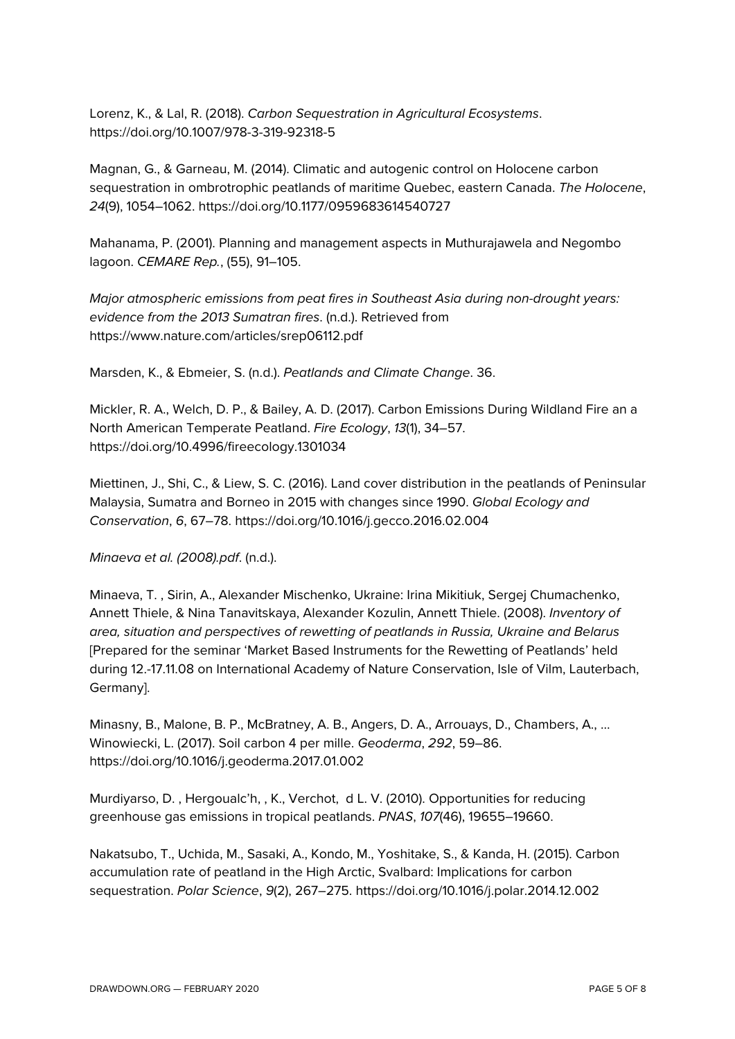Lorenz, K., & Lal, R. (2018). *Carbon Sequestration in Agricultural Ecosystems*. https://doi.org/10.1007/978-3-319-92318-5

Magnan, G., & Garneau, M. (2014). Climatic and autogenic control on Holocene carbon sequestration in ombrotrophic peatlands of maritime Quebec, eastern Canada. *The Holocene*, *24*(9), 1054–1062. https://doi.org/10.1177/0959683614540727

Mahanama, P. (2001). Planning and management aspects in Muthurajawela and Negombo lagoon. *CEMARE Rep.*, (55), 91–105.

*Major atmospheric emissions from peat fires in Southeast Asia during non-drought years: evidence from the 2013 Sumatran fires*. (n.d.). Retrieved from https://www.nature.com/articles/srep06112.pdf

Marsden, K., & Ebmeier, S. (n.d.). *Peatlands and Climate Change*. 36.

Mickler, R. A., Welch, D. P., & Bailey, A. D. (2017). Carbon Emissions During Wildland Fire an a North American Temperate Peatland. *Fire Ecology*, *13*(1), 34–57. https://doi.org/10.4996/fireecology.1301034

Miettinen, J., Shi, C., & Liew, S. C. (2016). Land cover distribution in the peatlands of Peninsular Malaysia, Sumatra and Borneo in 2015 with changes since 1990. *Global Ecology and Conservation*, *6*, 67–78. https://doi.org/10.1016/j.gecco.2016.02.004

*Minaeva et al. (2008).pdf*. (n.d.).

Minaeva, T. , Sirin, A., Alexander Mischenko, Ukraine: Irina Mikitiuk, Sergej Chumachenko, Annett Thiele, & Nina Tanavitskaya, Alexander Kozulin, Annett Thiele. (2008). *Inventory of area, situation and perspectives of rewetting of peatlands in Russia, Ukraine and Belarus* [Prepared for the seminar 'Market Based Instruments for the Rewetting of Peatlands' held during 12.-17.11.08 on International Academy of Nature Conservation, Isle of Vilm, Lauterbach, Germany].

Minasny, B., Malone, B. P., McBratney, A. B., Angers, D. A., Arrouays, D., Chambers, A., … Winowiecki, L. (2017). Soil carbon 4 per mille. *Geoderma*, *292*, 59–86. https://doi.org/10.1016/j.geoderma.2017.01.002

Murdiyarso, D. , Hergoualc'h, , K., Verchot, d L. V. (2010). Opportunities for reducing greenhouse gas emissions in tropical peatlands. *PNAS*, *107*(46), 19655–19660.

Nakatsubo, T., Uchida, M., Sasaki, A., Kondo, M., Yoshitake, S., & Kanda, H. (2015). Carbon accumulation rate of peatland in the High Arctic, Svalbard: Implications for carbon sequestration. *Polar Science*, *9*(2), 267–275. https://doi.org/10.1016/j.polar.2014.12.002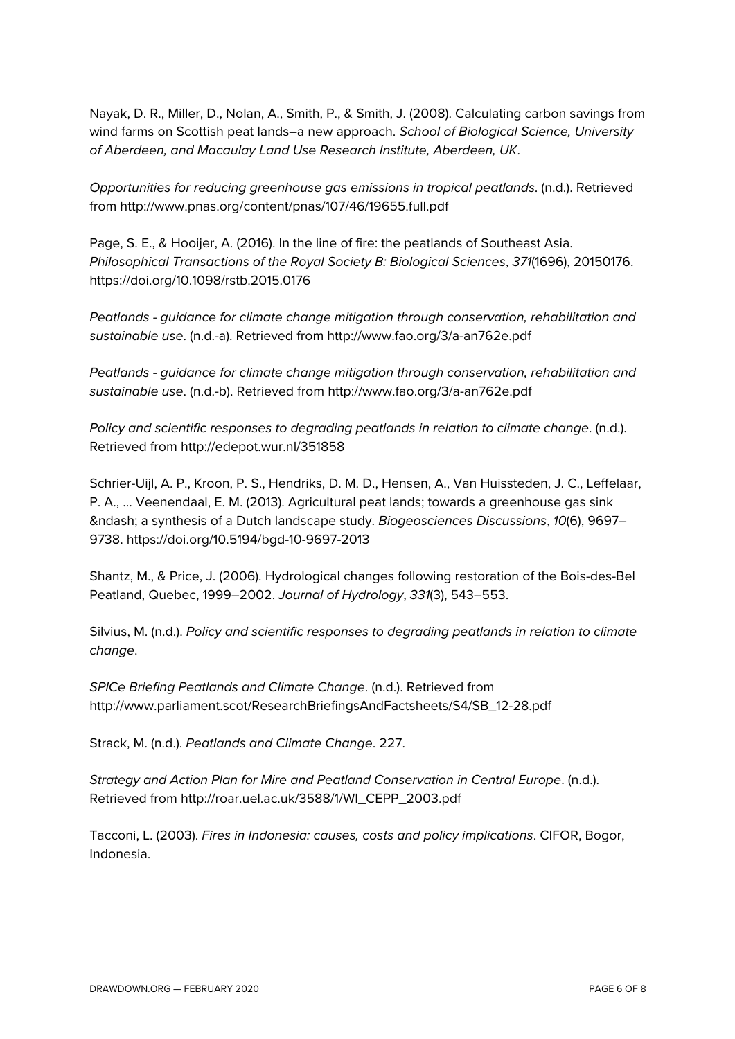Nayak, D. R., Miller, D., Nolan, A., Smith, P., & Smith, J. (2008). Calculating carbon savings from wind farms on Scottish peat lands–a new approach. *School of Biological Science, University of Aberdeen, and Macaulay Land Use Research Institute, Aberdeen, UK*.

*Opportunities for reducing greenhouse gas emissions in tropical peatlands*. (n.d.). Retrieved from http://www.pnas.org/content/pnas/107/46/19655.full.pdf

Page, S. E., & Hooijer, A. (2016). In the line of fire: the peatlands of Southeast Asia. *Philosophical Transactions of the Royal Society B: Biological Sciences*, *371*(1696), 20150176. https://doi.org/10.1098/rstb.2015.0176

*Peatlands - guidance for climate change mitigation through conservation, rehabilitation and sustainable use*. (n.d.-a). Retrieved from http://www.fao.org/3/a-an762e.pdf

*Peatlands - guidance for climate change mitigation through conservation, rehabilitation and sustainable use*. (n.d.-b). Retrieved from http://www.fao.org/3/a-an762e.pdf

*Policy and scientific responses to degrading peatlands in relation to climate change.* (n.d.). Retrieved from http://edepot.wur.nl/351858

Schrier-Uijl, A. P., Kroon, P. S., Hendriks, D. M. D., Hensen, A., Van Huissteden, J. C., Leffelaar, P. A., … Veenendaal, E. M. (2013). Agricultural peat lands; towards a greenhouse gas sink – a synthesis of a Dutch landscape study. *Biogeosciences Discussions*, *10*(6), 9697– 9738. https://doi.org/10.5194/bgd-10-9697-2013

Shantz, M., & Price, J. (2006). Hydrological changes following restoration of the Bois-des-Bel Peatland, Quebec, 1999–2002. *Journal of Hydrology*, *331*(3), 543–553.

Silvius, M. (n.d.). *Policy and scientific responses to degrading peatlands in relation to climate change*.

*SPICe Briefing Peatlands and Climate Change*. (n.d.). Retrieved from http://www.parliament.scot/ResearchBriefingsAndFactsheets/S4/SB\_12-28.pdf

Strack, M. (n.d.). *Peatlands and Climate Change*. 227.

*Strategy and Action Plan for Mire and Peatland Conservation in Central Europe*. (n.d.). Retrieved from http://roar.uel.ac.uk/3588/1/WI\_CEPP\_2003.pdf

Tacconi, L. (2003). *Fires in Indonesia: causes, costs and policy implications*. CIFOR, Bogor, Indonesia.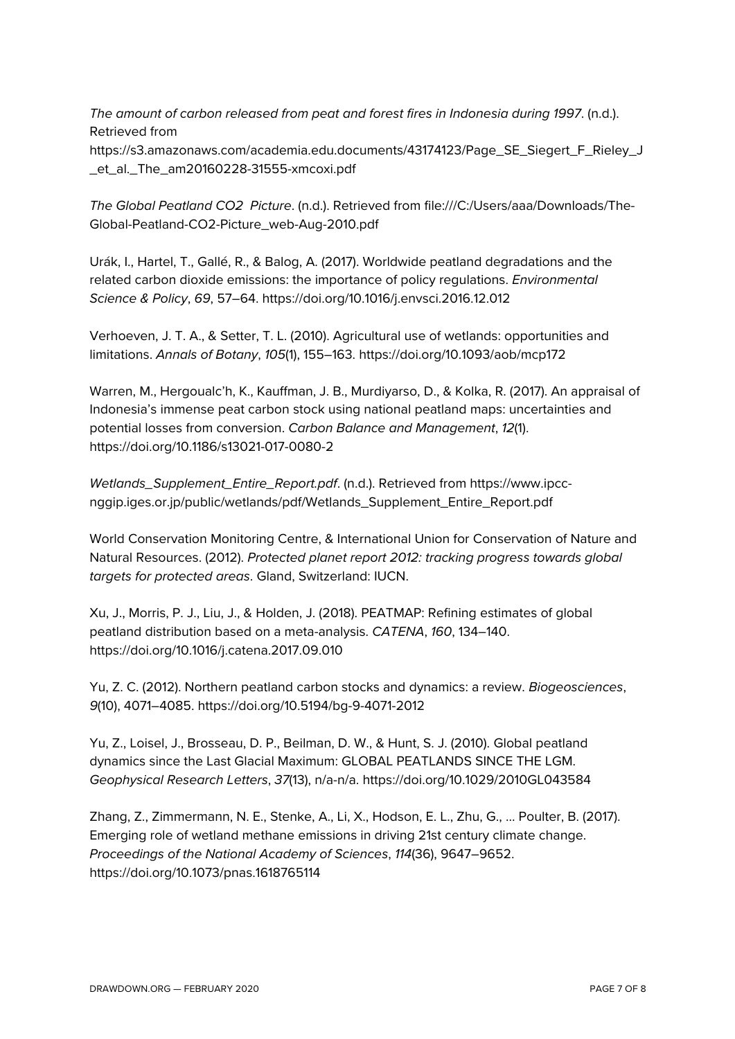*The amount of carbon released from peat and forest fires in Indonesia during 1997*. (n.d.). Retrieved from

https://s3.amazonaws.com/academia.edu.documents/43174123/Page\_SE\_Siegert\_F\_Rieley\_J \_et\_al.\_The\_am20160228-31555-xmcoxi.pdf

*The Global Peatland CO2 Picture*. (n.d.). Retrieved from file:///C:/Users/aaa/Downloads/The-Global-Peatland-CO2-Picture\_web-Aug-2010.pdf

Urák, I., Hartel, T., Gallé, R., & Balog, A. (2017). Worldwide peatland degradations and the related carbon dioxide emissions: the importance of policy regulations. *Environmental Science & Policy*, *69*, 57–64. https://doi.org/10.1016/j.envsci.2016.12.012

Verhoeven, J. T. A., & Setter, T. L. (2010). Agricultural use of wetlands: opportunities and limitations. *Annals of Botany*, *105*(1), 155–163. https://doi.org/10.1093/aob/mcp172

Warren, M., Hergoualc'h, K., Kauffman, J. B., Murdiyarso, D., & Kolka, R. (2017). An appraisal of Indonesia's immense peat carbon stock using national peatland maps: uncertainties and potential losses from conversion. *Carbon Balance and Management*, *12*(1). https://doi.org/10.1186/s13021-017-0080-2

*Wetlands\_Supplement\_Entire\_Report.pdf*. (n.d.). Retrieved from https://www.ipccnggip.iges.or.jp/public/wetlands/pdf/Wetlands\_Supplement\_Entire\_Report.pdf

World Conservation Monitoring Centre, & International Union for Conservation of Nature and Natural Resources. (2012). *Protected planet report 2012: tracking progress towards global targets for protected areas*. Gland, Switzerland: IUCN.

Xu, J., Morris, P. J., Liu, J., & Holden, J. (2018). PEATMAP: Refining estimates of global peatland distribution based on a meta-analysis. *CATENA*, *160*, 134–140. https://doi.org/10.1016/j.catena.2017.09.010

Yu, Z. C. (2012). Northern peatland carbon stocks and dynamics: a review. *Biogeosciences*, *9*(10), 4071–4085. https://doi.org/10.5194/bg-9-4071-2012

Yu, Z., Loisel, J., Brosseau, D. P., Beilman, D. W., & Hunt, S. J. (2010). Global peatland dynamics since the Last Glacial Maximum: GLOBAL PEATLANDS SINCE THE LGM. *Geophysical Research Letters*, *37*(13), n/a-n/a. https://doi.org/10.1029/2010GL043584

Zhang, Z., Zimmermann, N. E., Stenke, A., Li, X., Hodson, E. L., Zhu, G., … Poulter, B. (2017). Emerging role of wetland methane emissions in driving 21st century climate change. *Proceedings of the National Academy of Sciences*, *114*(36), 9647–9652. https://doi.org/10.1073/pnas.1618765114